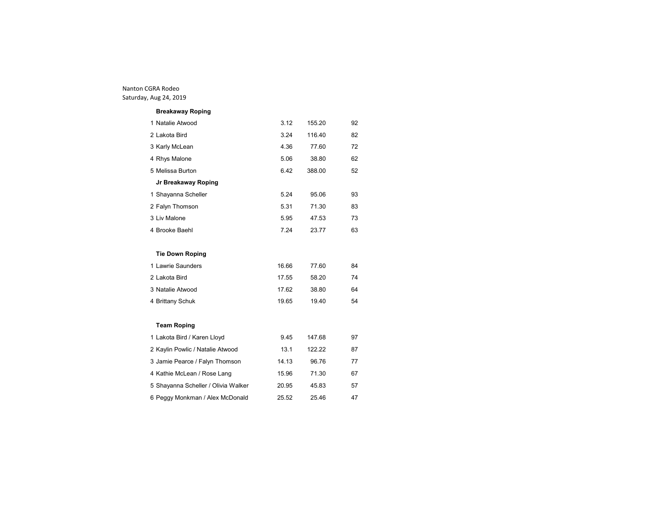| <b>Breakaway Roping</b> |       |        |    |
|-------------------------|-------|--------|----|
| 1 Natalie Atwood        | 3.12  | 155.20 | 92 |
| 2 Lakota Bird           | 3.24  | 116.40 | 82 |
| 3 Karly McLean          | 4.36  | 77.60  | 72 |
| 4 Rhys Malone           | 5.06  | 38.80  | 62 |
| 5 Melissa Burton        | 6.42  | 388.00 | 52 |
| Jr Breakaway Roping     |       |        |    |
| 1 Shayanna Scheller     | 5.24  | 95.06  | 93 |
| 2 Falyn Thomson         | 5.31  | 71.30  | 83 |
| 3 Liv Malone            | 5.95  | 47.53  | 73 |
| 4 Brooke Baehl          | 7.24  | 23.77  | 63 |
|                         |       |        |    |
| <b>Tie Down Roping</b>  |       |        |    |
| 1 Lawrie Saunders       | 16.66 | 77.60  | 84 |
| 2 Lakota Bird           | 17.55 | 58.20  | 74 |
| 3 Natalie Atwood        | 17.62 | 38.80  | 64 |

# **Team Roping**

| 1 Lakota Bird / Karen Lloyd         | 9.45  | 147.68 | 97 |
|-------------------------------------|-------|--------|----|
| 2 Kaylin Powlic / Natalie Atwood    | 13.1  | 122.22 | 87 |
| 3 Jamie Pearce / Falyn Thomson      | 14.13 | 96.76  | 77 |
| 4 Kathie McLean / Rose Lang         | 15.96 | 71.30  | 67 |
| 5 Shayanna Scheller / Olivia Walker | 20.95 | 45.83  | 57 |
| 6 Peggy Monkman / Alex McDonald     | 25.52 | 25.46  | 47 |

Brittany Schuk 19.65 19.40 54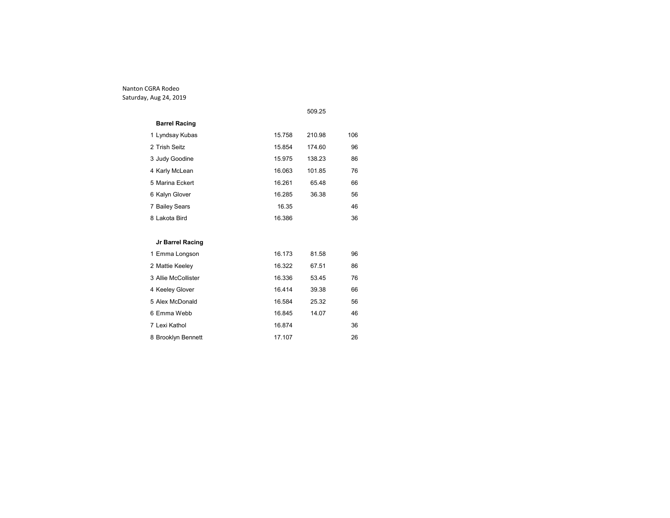|                      |        | 509.25 |     |
|----------------------|--------|--------|-----|
| <b>Barrel Racing</b> |        |        |     |
| 1 Lyndsay Kubas      | 15.758 | 210.98 | 106 |
| 2 Trish Seitz        | 15.854 | 174.60 | 96  |
| 3 Judy Goodine       | 15.975 | 138.23 | 86  |
| 4 Karly McLean       | 16.063 | 101.85 | 76  |
| 5 Marina Eckert      | 16.261 | 65.48  | 66  |
| 6 Kalyn Glover       | 16.285 | 36.38  | 56  |
| 7 Bailey Sears       | 16.35  |        | 46  |
| 8 Lakota Bird        | 16.386 |        | 36  |
|                      |        |        |     |
| Jr Barrel Racing     |        |        |     |
| 1 Emma Longson       | 16.173 | 81.58  | 96  |
| 2 Mattie Keeley      | 16.322 | 67.51  | 86  |
| 3 Allie McCollister  | 16.336 | 53.45  | 76  |
| 4 Keeley Glover      | 16.414 | 39.38  | 66  |
| 5 Alex McDonald      | 16.584 | 25.32  | 56  |
| 6 Emma Webb          | 16.845 | 14.07  | 46  |
| 7 Lexi Kathol        | 16.874 |        | 36  |
| 8 Brooklyn Bennett   | 17.107 |        | 26  |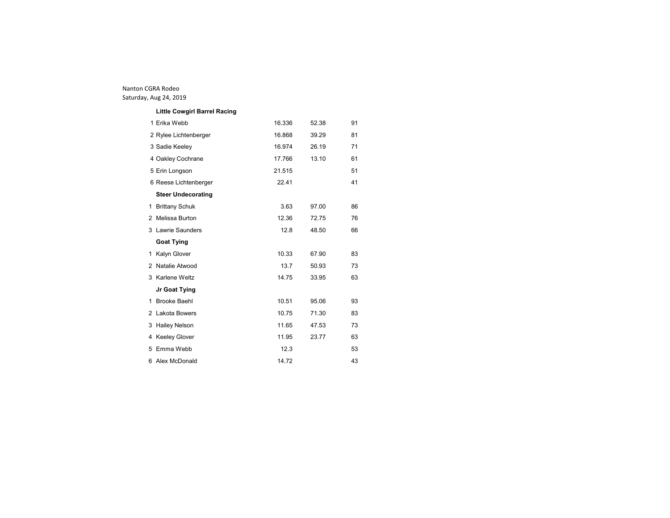| <b>Little Cowgirl Barrel Racing</b> |        |       |    |
|-------------------------------------|--------|-------|----|
| 1 Erika Webb                        | 16.336 | 52.38 | 91 |
| 2 Rylee Lichtenberger               | 16.868 | 39.29 | 81 |
| 3 Sadie Keeley                      | 16.974 | 26.19 | 71 |
| 4 Oakley Cochrane                   | 17.766 | 13.10 | 61 |
| 5 Erin Longson                      | 21.515 |       | 51 |
| 6 Reese Lichtenberger               | 22.41  |       | 41 |
| <b>Steer Undecorating</b>           |        |       |    |
| 1 Brittany Schuk                    | 3.63   | 97.00 | 86 |
| 2 Melissa Burton                    | 12.36  | 72.75 | 76 |
| 3 Lawrie Saunders                   | 12.8   | 48.50 | 66 |
|                                     |        |       |    |
| <b>Goat Tying</b>                   |        |       |    |
| 1 Kalyn Glover                      | 10.33  | 67.90 | 83 |
| 2 Natalie Atwood                    | 13.7   | 50.93 | 73 |
| 3 Karlene Weltz                     | 14.75  | 33.95 | 63 |
| Jr Goat Tying                       |        |       |    |
| 1 Brooke Baehl                      | 10.51  | 95.06 | 93 |
| 2 Lakota Bowers                     | 10.75  | 71.30 | 83 |
| 3 Hailey Nelson                     | 11.65  | 47.53 | 73 |
| 4 Keeley Glover                     | 11.95  | 23.77 | 63 |
| 5 Emma Webb                         | 12.3   |       | 53 |